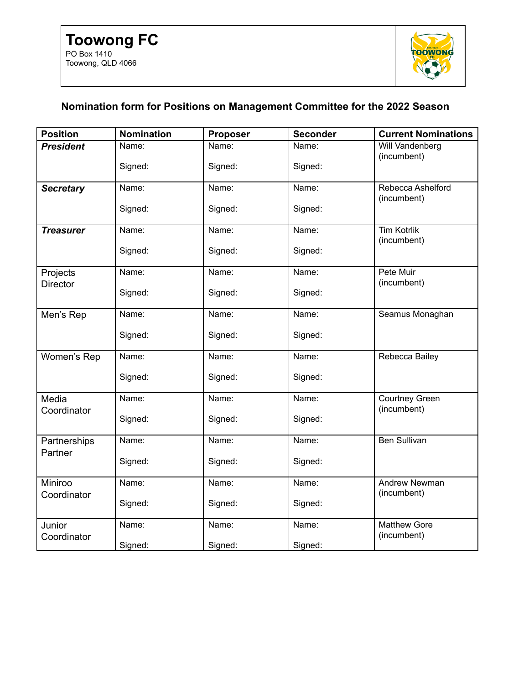

## **Nomination form for Positions on Management Committee for the 2022 Season**

| <b>Position</b>             | <b>Nomination</b> | Proposer | <b>Seconder</b> | <b>Current Nominations</b>           |
|-----------------------------|-------------------|----------|-----------------|--------------------------------------|
| <b>President</b>            | Name:             | Name:    | Name:           | Will Vandenberg<br>(incumbent)       |
|                             | Signed:           | Signed:  | Signed:         |                                      |
| <b>Secretary</b>            | Name:             | Name:    | Name:           | Rebecca Ashelford<br>(incumbent)     |
|                             | Signed:           | Signed:  | Signed:         |                                      |
| <b>Treasurer</b>            | Name:             | Name:    | Name:           | <b>Tim Kotrlik</b><br>(incumbent)    |
|                             | Signed:           | Signed:  | Signed:         |                                      |
| Projects<br><b>Director</b> | Name:             | Name:    | Name:           | Pete Muir<br>(incumbent)             |
|                             | Signed:           | Signed:  | Signed:         |                                      |
| Men's Rep                   | Name:             | Name:    | Name:           | Seamus Monaghan                      |
|                             | Signed:           | Signed:  | Signed:         |                                      |
| Women's Rep                 | Name:             | Name:    | Name:           | Rebecca Bailey                       |
|                             | Signed:           | Signed:  | Signed:         |                                      |
| Media<br>Coordinator        | Name:             | Name:    | Name:           | <b>Courtney Green</b><br>(incumbent) |
|                             | Signed:           | Signed:  | Signed:         |                                      |
| Partnerships<br>Partner     | Name:             | Name:    | Name:           | <b>Ben Sullivan</b>                  |
|                             | Signed:           | Signed:  | Signed:         |                                      |
| Miniroo<br>Coordinator      | Name:             | Name:    | Name:           | <b>Andrew Newman</b><br>(incumbent)  |
|                             | Signed:           | Signed:  | Signed:         |                                      |
| Junior<br>Coordinator       | Name:             | Name:    | Name:           | <b>Matthew Gore</b><br>(incumbent)   |
|                             | Signed:           | Signed:  | Signed:         |                                      |